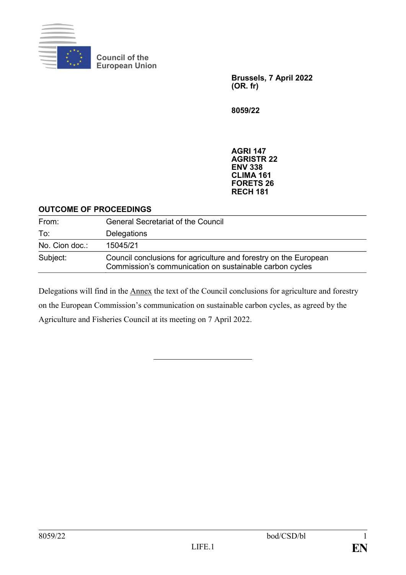

**Council of the European Union**

> **Brussels, 7 April 2022 (OR. fr)**

**8059/22**

**AGRI 147 AGRISTR 22 ENV 338 CLIMA 161 FORETS 26 RECH 181**

## **OUTCOME OF PROCEEDINGS**

| From:          | <b>General Secretariat of the Council</b>                                                                                   |
|----------------|-----------------------------------------------------------------------------------------------------------------------------|
| To:            | Delegations                                                                                                                 |
| No. Cion doc.: | 15045/21                                                                                                                    |
| Subject:       | Council conclusions for agriculture and forestry on the European<br>Commission's communication on sustainable carbon cycles |

Delegations will find in the Annex the text of the Council conclusions for agriculture and forestry on the European Commission's communication on sustainable carbon cycles, as agreed by the Agriculture and Fisheries Council at its meeting on 7 April 2022.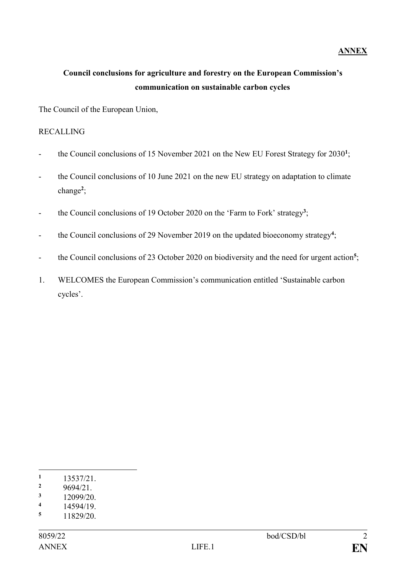## **ANNEX**

## **Council conclusions for agriculture and forestry on the European Commission's communication on sustainable carbon cycles**

The Council of the European Union,

## RECALLING

- the Council conclusions of 15 November 2021 on the New EU Forest Strategy for 2030<sup>1</sup>;
- the Council conclusions of 10 June 2021 on the new EU strategy on adaptation to climate change**<sup>2</sup>** ;
- the Council conclusions of 19 October 2020 on the 'Farm to Fork' strategy<sup>3</sup>;
- the Council conclusions of 29 November 2019 on the updated bioeconomy strategy<sup>4</sup>;
- <sup>-</sup> the Council conclusions of 23 October 2020 on biodiversity and the need for urgent action<sup>5</sup>;
- 1. WELCOMES the European Commission's communication entitled 'Sustainable carbon cycles'.

1

 $\frac{3}{4}$  12099/20.

 $\frac{1}{2}$  13537/21.

 $\frac{2}{3}$  9694/21.

 $\frac{4}{5}$  14594/19.

**<sup>5</sup>** 11829/20.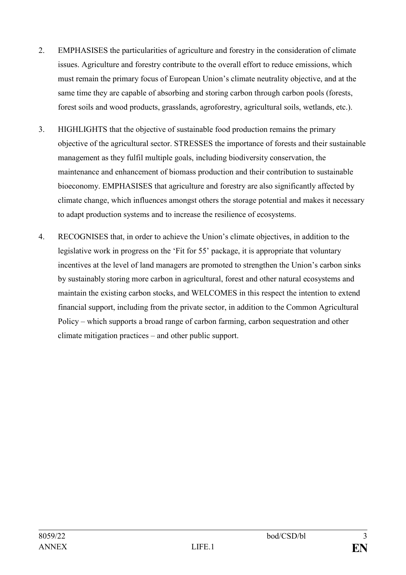- 2. EMPHASISES the particularities of agriculture and forestry in the consideration of climate issues. Agriculture and forestry contribute to the overall effort to reduce emissions, which must remain the primary focus of European Union's climate neutrality objective, and at the same time they are capable of absorbing and storing carbon through carbon pools (forests, forest soils and wood products, grasslands, agroforestry, agricultural soils, wetlands, etc.).
- 3. HIGHLIGHTS that the objective of sustainable food production remains the primary objective of the agricultural sector. STRESSES the importance of forests and their sustainable management as they fulfil multiple goals, including biodiversity conservation, the maintenance and enhancement of biomass production and their contribution to sustainable bioeconomy. EMPHASISES that agriculture and forestry are also significantly affected by climate change, which influences amongst others the storage potential and makes it necessary to adapt production systems and to increase the resilience of ecosystems.
- 4. RECOGNISES that, in order to achieve the Union's climate objectives, in addition to the legislative work in progress on the 'Fit for 55' package, it is appropriate that voluntary incentives at the level of land managers are promoted to strengthen the Union's carbon sinks by sustainably storing more carbon in agricultural, forest and other natural ecosystems and maintain the existing carbon stocks, and WELCOMES in this respect the intention to extend financial support, including from the private sector, in addition to the Common Agricultural Policy – which supports a broad range of carbon farming, carbon sequestration and other climate mitigation practices – and other public support.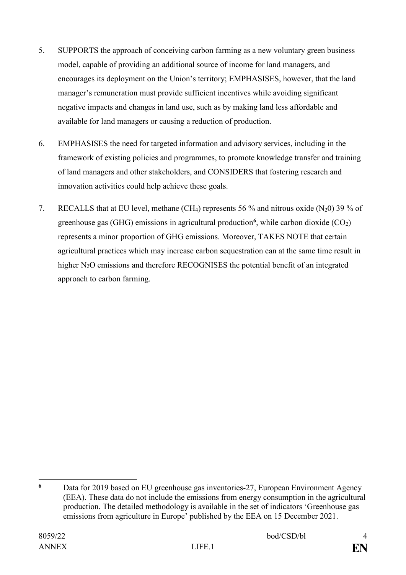- 5. SUPPORTS the approach of conceiving carbon farming as a new voluntary green business model, capable of providing an additional source of income for land managers, and encourages its deployment on the Union's territory; EMPHASISES, however, that the land manager's remuneration must provide sufficient incentives while avoiding significant negative impacts and changes in land use, such as by making land less affordable and available for land managers or causing a reduction of production.
- 6. EMPHASISES the need for targeted information and advisory services, including in the framework of existing policies and programmes, to promote knowledge transfer and training of land managers and other stakeholders, and CONSIDERS that fostering research and innovation activities could help achieve these goals.
- 7. RECALLS that at EU level, methane (CH<sub>4</sub>) represents 56 % and nitrous oxide (N<sub>2</sub>0) 39 % of greenhouse gas (GHG) emissions in agricultural production<sup>6</sup>, while carbon dioxide (CO<sub>2</sub>) represents a minor proportion of GHG emissions. Moreover, TAKES NOTE that certain agricultural practices which may increase carbon sequestration can at the same time result in higher N<sub>2</sub>O emissions and therefore RECOGNISES the potential benefit of an integrated approach to carbon farming.

<sup>1</sup> **<sup>6</sup>** Data for 2019 based on EU greenhouse gas inventories-27, European Environment Agency (EEA). These data do not include the emissions from energy consumption in the agricultural production. The detailed methodology is available in the set of indicators 'Greenhouse gas emissions from agriculture in Europe' published by the EEA on 15 December 2021.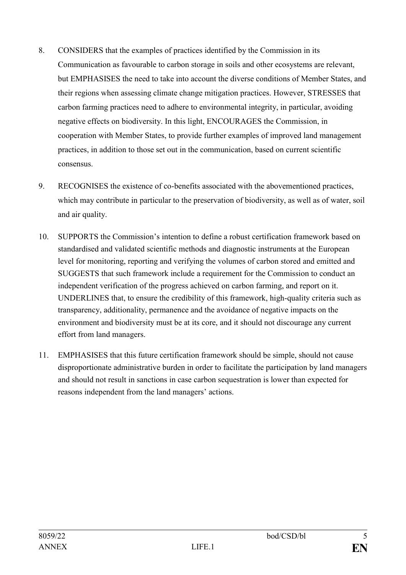- 8. CONSIDERS that the examples of practices identified by the Commission in its Communication as favourable to carbon storage in soils and other ecosystems are relevant, but EMPHASISES the need to take into account the diverse conditions of Member States, and their regions when assessing climate change mitigation practices. However, STRESSES that carbon farming practices need to adhere to environmental integrity, in particular, avoiding negative effects on biodiversity. In this light, ENCOURAGES the Commission, in cooperation with Member States, to provide further examples of improved land management practices, in addition to those set out in the communication, based on current scientific consensus.
- 9. RECOGNISES the existence of co-benefits associated with the abovementioned practices, which may contribute in particular to the preservation of biodiversity, as well as of water, soil and air quality.
- 10. SUPPORTS the Commission's intention to define a robust certification framework based on standardised and validated scientific methods and diagnostic instruments at the European level for monitoring, reporting and verifying the volumes of carbon stored and emitted and SUGGESTS that such framework include a requirement for the Commission to conduct an independent verification of the progress achieved on carbon farming, and report on it. UNDERLINES that, to ensure the credibility of this framework, high-quality criteria such as transparency, additionality, permanence and the avoidance of negative impacts on the environment and biodiversity must be at its core, and it should not discourage any current effort from land managers.
- 11. EMPHASISES that this future certification framework should be simple, should not cause disproportionate administrative burden in order to facilitate the participation by land managers and should not result in sanctions in case carbon sequestration is lower than expected for reasons independent from the land managers' actions.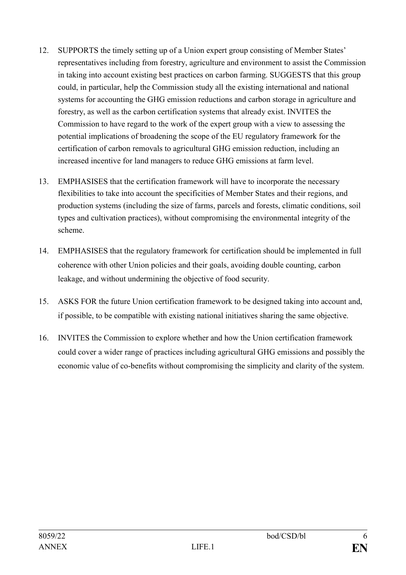- 12. SUPPORTS the timely setting up of a Union expert group consisting of Member States' representatives including from forestry, agriculture and environment to assist the Commission in taking into account existing best practices on carbon farming. SUGGESTS that this group could, in particular, help the Commission study all the existing international and national systems for accounting the GHG emission reductions and carbon storage in agriculture and forestry, as well as the carbon certification systems that already exist. INVITES the Commission to have regard to the work of the expert group with a view to assessing the potential implications of broadening the scope of the EU regulatory framework for the certification of carbon removals to agricultural GHG emission reduction, including an increased incentive for land managers to reduce GHG emissions at farm level.
- 13. EMPHASISES that the certification framework will have to incorporate the necessary flexibilities to take into account the specificities of Member States and their regions, and production systems (including the size of farms, parcels and forests, climatic conditions, soil types and cultivation practices), without compromising the environmental integrity of the scheme.
- 14. EMPHASISES that the regulatory framework for certification should be implemented in full coherence with other Union policies and their goals, avoiding double counting, carbon leakage, and without undermining the objective of food security.
- 15. ASKS FOR the future Union certification framework to be designed taking into account and, if possible, to be compatible with existing national initiatives sharing the same objective.
- 16. INVITES the Commission to explore whether and how the Union certification framework could cover a wider range of practices including agricultural GHG emissions and possibly the economic value of co-benefits without compromising the simplicity and clarity of the system.